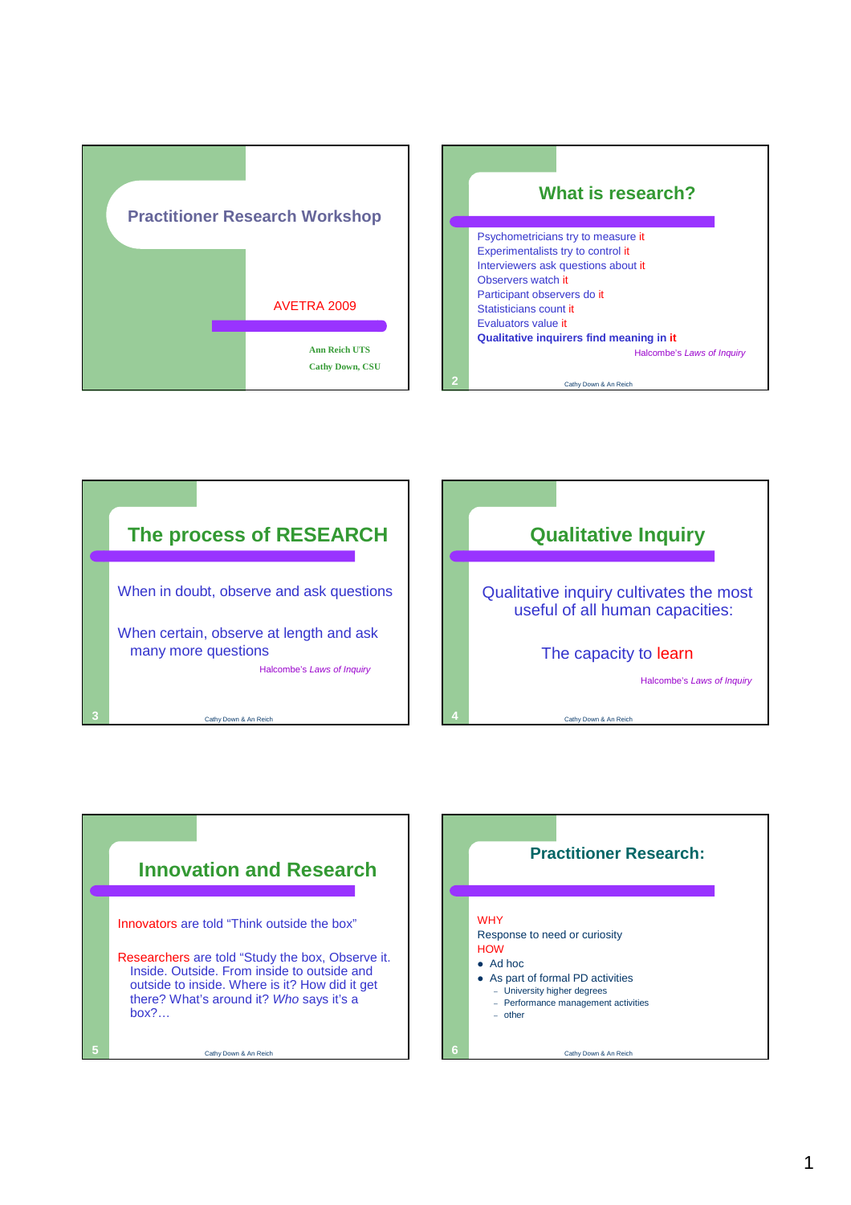







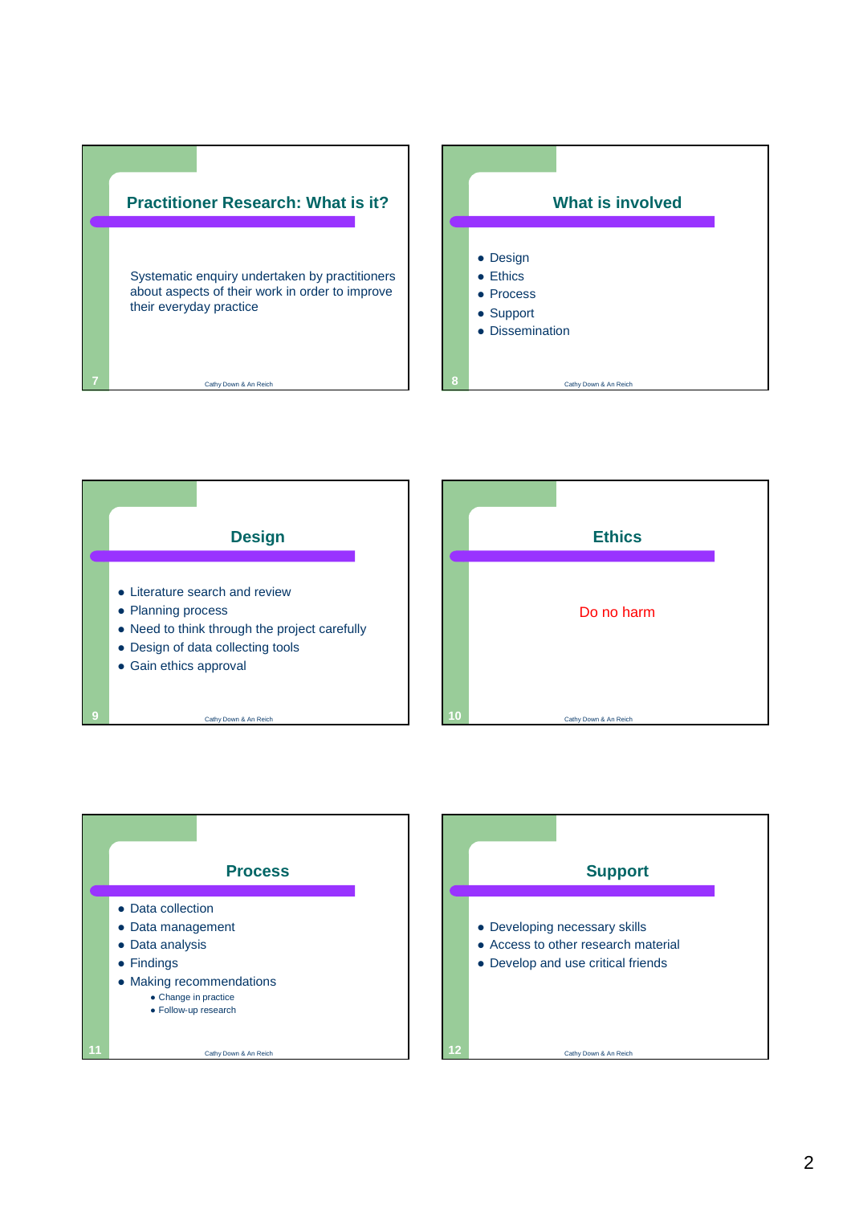